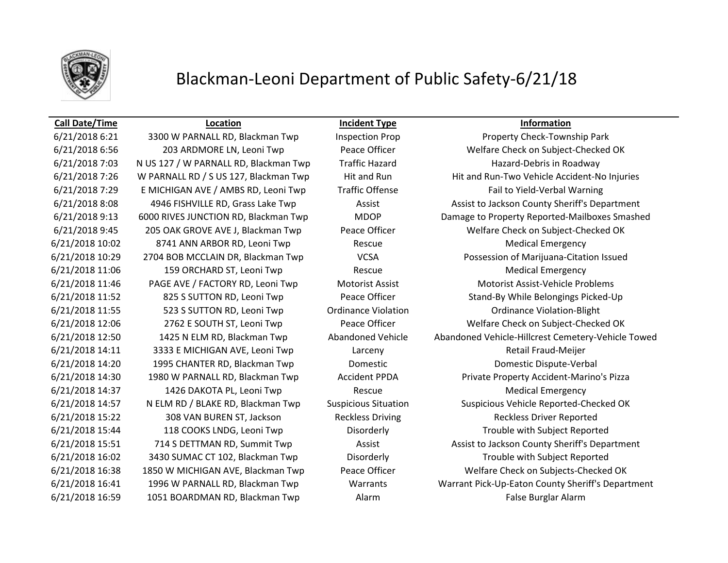

# Blackman-Leoni Department of Public Safety-6/21/18

## **Call Date/Time Location Incident Type Information**

6/21/2018 7:03 N US 127 / W PARNALL RD, Blackman Twp Traffic Hazard Hazard Hazard-Debris in Roadway 6/21/2018 10:02 8741 ANN ARBOR RD, Leoni Twp Rescue Medical Emergency 6/21/2018 11:06 159 ORCHARD ST, Leoni Twp Rescue Rescue Rescue Medical Emergency 6/21/2018 11:55 523 S SUTTON RD, Leoni Twp Ordinance Violation Ordinance Violation-Blight 6/21/2018 14:11 3333 E MICHIGAN AVE, Leoni Twp Larceny Larceny Retail Fraud-Meijer 6/21/2018 14:20 1995 CHANTER RD, Blackman Twp Domestic Domestic Dispute-Verbal 6/21/2018 14:37 1426 DAKOTA PL, Leoni Twp Rescue Medical Emergency 6/21/2018 15:22 308 VAN BUREN ST, Jackson Reckless Driving Reckless Driver Reported 6/21/2018 16:59 1051 BOARDMAN RD, Blackman Twp Alarm Alarm False Burglar Alarm

6/21/2018 6:21 3300 W PARNALL RD, Blackman Twp Inspection Prop Property Check-Township Park 6/21/2018 6:56 203 ARDMORE LN, Leoni Twp Peace Officer Welfare Check on Subject-Checked OK 6/21/2018 7:26 W PARNALL RD / S US 127, Blackman Twp Hit and Run Hit and Run-Two Vehicle Accident-No Injuries 6/21/2018 7:29 E MICHIGAN AVE / AMBS RD, Leoni Twp Traffic Offense Fail to Yield-Verbal Warning 6/21/2018 8:08 4946 FISHVILLE RD, Grass Lake Twp Assist Assist Assist to Jackson County Sheriff's Department 6/21/2018 9:13 6000 RIVES JUNCTION RD, Blackman Twp MDOP Damage to Property Reported-Mailboxes Smashed 6/21/2018 9:45 205 OAK GROVE AVE J, Blackman Twp Peace Officer Welfare Check on Subject-Checked OK 6/21/2018 10:29 2704 BOB MCCLAIN DR, Blackman Twp VCSA Possession of Marijuana-Citation Issued 6/21/2018 11:46 PAGE AVE / FACTORY RD, Leoni Twp Motorist Assist Motorist Assist-Vehicle Problems 6/21/2018 11:52 825 S SUTTON RD, Leoni Twp Peace Officer Stand-By While Belongings Picked-Up 6/21/2018 12:06 2762 E SOUTH ST, Leoni Twp Peace Officer Welfare Check on Subject-Checked OK 6/21/2018 12:50 1425 N ELM RD, Blackman Twp Abandoned Vehicle Abandoned Vehicle-Hillcrest Cemetery-Vehicle Towed 6/21/2018 14:30 1980 W PARNALL RD, Blackman Twp Accident PPDA Private Property Accident-Marino's Pizza 6/21/2018 14:57 N ELM RD / BLAKE RD, Blackman Twp Suspicious Situation Suspicious Vehicle Reported-Checked OK 6/21/2018 15:44 118 COOKS LNDG, Leoni Twp Disorderly Trouble with Subject Reported 6/21/2018 15:51 714 S DETTMAN RD, Summit Twp Assist Assist Assist to Jackson County Sheriff's Department 6/21/2018 16:02 3430 SUMAC CT 102, Blackman Twp Disorderly Trouble with Subject Reported 6/21/2018 16:38 1850 W MICHIGAN AVE, Blackman Twp Peace Officer Welfare Check on Subjects-Checked OK 6/21/2018 16:41 1996 W PARNALL RD, Blackman Twp Warrants Warrant Pick-Up-Eaton County Sheriff's Department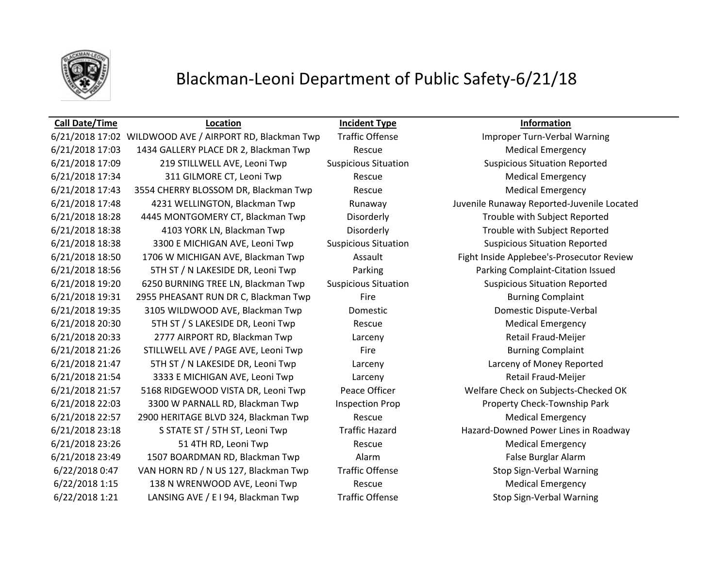

# Blackman-Leoni Department of Public Safety-6/21/18

## **Call Date/Time Location Incident Type Information**

## 6/21/2018 17:02 WILDWOOD AVE / AIRPORT RD, Blackman Twp Traffic Offense Improper Turn-Verbal Warning 6/21/2018 17:03 1434 GALLERY PLACE DR 2, Blackman Twp Rescue Rescue Medical Emergency 6/21/2018 17:09 219 STILLWELL AVE, Leoni Twp Suspicious Situation Suspicious Situation Reported 6/21/2018 17:34 311 GILMORE CT, Leoni Twp Rescue Rescue Rescue Medical Emergency 6/21/2018 17:43 3554 CHERRY BLOSSOM DR, Blackman Twp Rescue Rescue Medical Emergency 6/21/2018 17:48 4231 WELLINGTON, Blackman Twp Runaway Juvenile Runaway Reported-Juvenile Located 6/21/2018 18:28 4445 MONTGOMERY CT, Blackman Twp Disorderly Trouble with Subject Reported 6/21/2018 18:38 4103 YORK LN, Blackman Twp Disorderly Trouble with Subject Reported 6/21/2018 18:38 3300 E MICHIGAN AVE, Leoni Twp Suspicious Situation Suspicious Situation Reported 6/21/2018 18:50 1706 W MICHIGAN AVE, Blackman Twp **Assault** Fight Inside Applebee's-Prosecutor Review 6/21/2018 18:56 5TH ST / N LAKESIDE DR, Leoni Twp Parking Parking Complaint-Citation Issued 6/21/2018 19:20 6250 BURNING TREE LN, Blackman Twp Suspicious Situation Suspicious Situation Reported 6/21/2018 19:31 2955 PHEASANT RUN DR C, Blackman Twp Fire Fire Burning Complaint 6/21/2018 19:35 3105 WILDWOOD AVE, Blackman Twp Domestic Domestic Dispute-Verbal 6/21/2018 20:30 5TH ST / S LAKESIDE DR, Leoni Twp Rescue Rescue Medical Emergency 6/21/2018 20:33 2777 AIRPORT RD, Blackman Twp Larceny Retail Fraud-Meijer 6/21/2018 21:26 STILLWELL AVE / PAGE AVE, Leoni Twp Fire Fire Fire Burning Complaint 6/21/2018 21:47 5TH ST / N LAKESIDE DR, Leoni Twp Larceny Larceny of Money Reported 6/21/2018 21:54 3333 E MICHIGAN AVE, Leoni Twp Larceny Larceny Retail Fraud-Meijer 6/21/2018 21:57 5168 RIDGEWOOD VISTA DR, Leoni Twp Peace Officer Welfare Check on Subjects-Checked OK 6/21/2018 22:03 3300 W PARNALL RD, Blackman Twp Inspection Prop Property Check-Township Park 6/21/2018 22:57 2900 HERITAGE BLVD 324, Blackman Twp Rescue Rescue Medical Emergency 6/21/2018 23:18 S STATE ST / 5TH ST, Leoni Twp Traffic Hazard Hazard-Downed Power Lines in Roadway 6/21/2018 23:26 51 4TH RD, Leoni Twp Rescue Rescue Rescue Medical Emergency 6/21/2018 23:49 1507 BOARDMAN RD, Blackman Twp Alarm False Burglar Alarm 6/22/2018 0:47 VAN HORN RD / N US 127, Blackman Twp Traffic Offense Stop Sign-Verbal Warning 6/22/2018 1:15 138 N WRENWOOD AVE, Leoni Twp Rescue Rescue Rescue Medical Emergency 6/22/2018 1:21 LANSING AVE / E I 94, Blackman Twp Traffic Offense Stop Sign-Verbal Warning